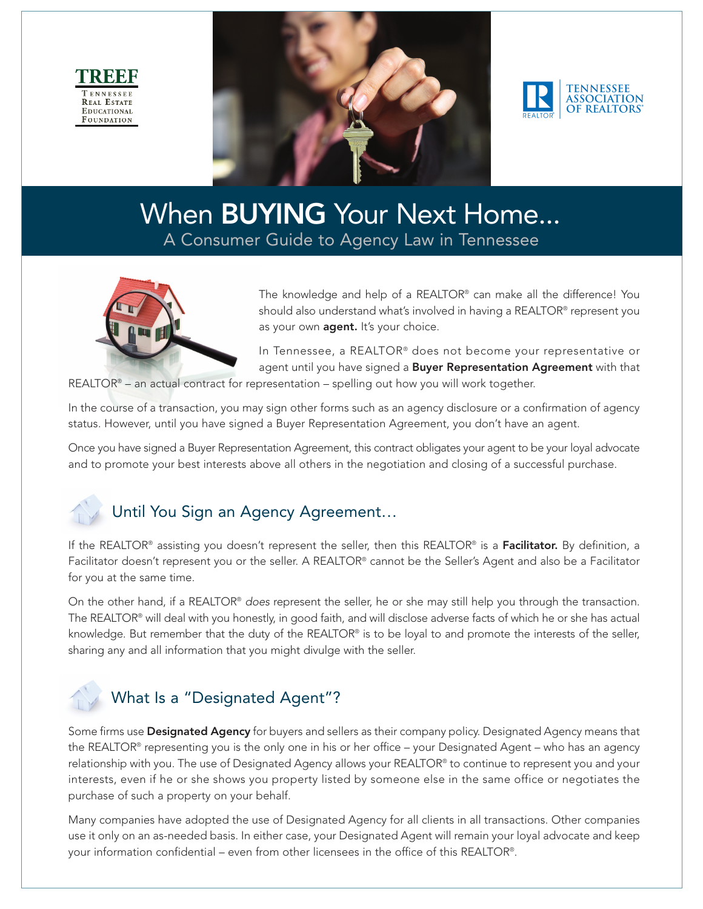





# When **BUYING** Your Next Home... A Consumer Guide to Agency Law in Tennessee



The knowledge and help of a REALTOR® can make all the difference! You should also understand what's involved in having a REALTOR® represent you as your own **agent.** It's your choice.

In Tennessee, a REALTOR® does not become your representative or agent until you have signed a Buyer Representation Agreement with that

REALTOR® – an actual contract for representation – spelling out how you will work together.

In the course of a transaction, you may sign other forms such as an agency disclosure or a confirmation of agency status. However, until you have signed a Buyer Representation Agreement, you don't have an agent.

Once you have signed a Buyer Representation Agreement, this contract obligates your agent to be your loyal advocate and to promote your best interests above all others in the negotiation and closing of a successful purchase.

## Until You Sign an Agency Agreement…

If the REALTOR<sup>®</sup> assisting you doesn't represent the seller, then this REALTOR® is a **Facilitator.** By definition, a Facilitator doesn't represent you or the seller. A REALTOR® cannot be the Seller's Agent and also be a Facilitator for you at the same time.

On the other hand, if a REALTOR® does represent the seller, he or she may still help you through the transaction. The REALTOR® will deal with you honestly, in good faith, and will disclose adverse facts of which he or she has actual knowledge. But remember that the duty of the REALTOR® is to be loyal to and promote the interests of the seller, sharing any and all information that you might divulge with the seller.

# What Is a "Designated Agent"?

Some firms use Designated Agency for buyers and sellers as their company policy. Designated Agency means that the REALTOR® representing you is the only one in his or her office – your Designated Agent – who has an agency relationship with you. The use of Designated Agency allows your REALTOR® to continue to represent you and your interests, even if he or she shows you property listed by someone else in the same office or negotiates the purchase of such a property on your behalf.

Many companies have adopted the use of Designated Agency for all clients in all transactions. Other companies use it only on an as-needed basis. In either case, your Designated Agent will remain your loyal advocate and keep your information confidential – even from other licensees in the office of this REALTOR®.